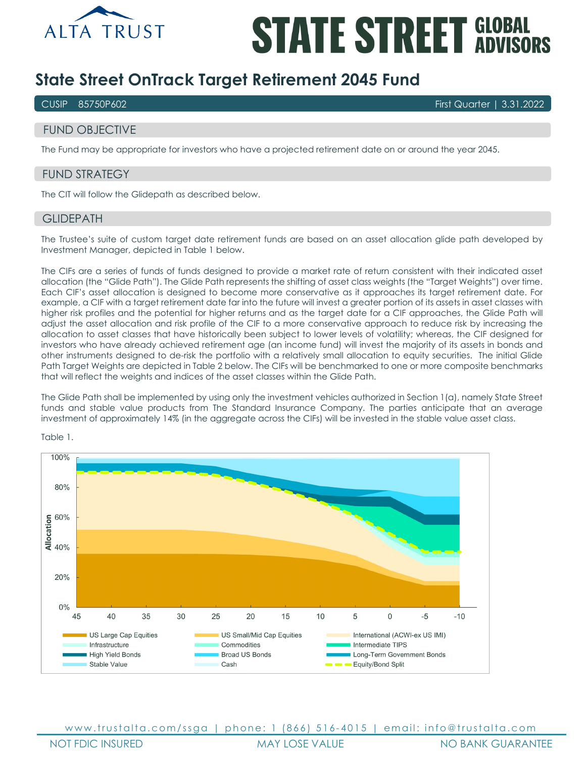

# **STATE STREET GLOBAL**

# **State Street OnTrack Target Retirement 2045 Fund**

CUSIP 85750P602 First Quarter | 3.31.2022

# FUND OBJECTIVE

The Fund may be appropriate for investors who have a projected retirement date on or around the year 2045.

# FUND STRATEGY

The CIT will follow the Glidepath as described below.

### **GLIDEPATH**

The Trustee's suite of custom target date retirement funds are based on an asset allocation glide path developed by Investment Manager, depicted in Table 1 below.

The CIFs are a series of funds of funds designed to provide a market rate of return consistent with their indicated asset allocation (the "Glide Path"). The Glide Path represents the shifting of asset class weights (the "Target Weights") over time. Each CIF's asset allocation is designed to become more conservative as it approaches its target retirement date. For example, a CIF with a target retirement date far into the future will invest a greater portion of its assets in asset classes with higher risk profiles and the potential for higher returns and as the target date for a CIF approaches, the Glide Path will adjust the asset allocation and risk profile of the CIF to a more conservative approach to reduce risk by increasing the allocation to asset classes that have historically been subject to lower levels of volatility; whereas, the CIF designed for investors who have already achieved retirement age (an income fund) will invest the majority of its assets in bonds and other instruments designed to de-risk the portfolio with a relatively small allocation to equity securities. The initial Glide Path Target Weights are depicted in Table 2 below. The CIFs will be benchmarked to one or more composite benchmarks that will reflect the weights and indices of the asset classes within the Glide Path.

The Glide Path shall be implemented by using only the investment vehicles authorized in Section 1(a), namely State Street funds and stable value products from The Standard Insurance Company. The parties anticipate that an average investment of approximately 14% (in the aggregate across the CIFs) will be invested in the stable value asset class.



Table 1.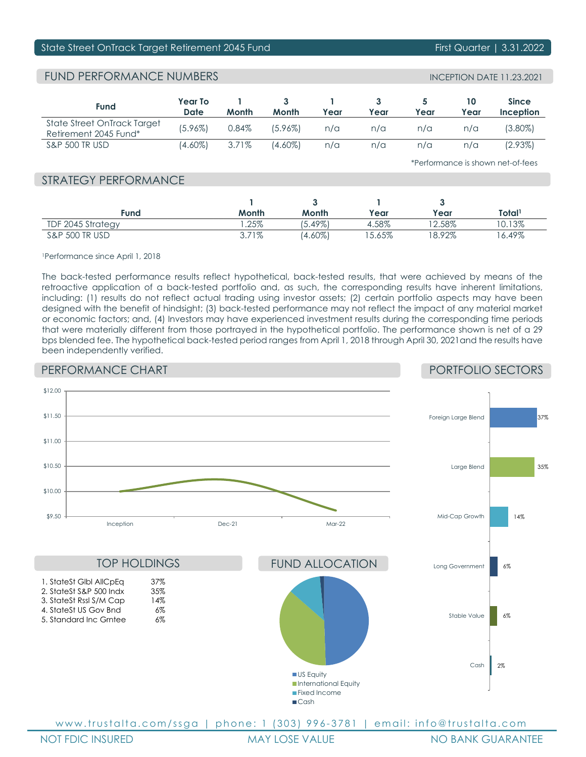# State Street OnTrack Target Retirement 2045 Fund First Communication First Quarter | 3.31.2022

# FUND PERFORMANCE NUMBERS

| <b>Fund</b>                                          | Year To<br>Date | Month | Month   | Year | Year | Year | Year | <b>Since</b><br>Inception |
|------------------------------------------------------|-----------------|-------|---------|------|------|------|------|---------------------------|
| State Street OnTrack Target<br>Retirement 2045 Fund* | $(5.96\%)$      | 0.84% | (5.96%) | n/a  | n/a  | n/a  | n/a  | (3.80%)                   |
| <b>S&amp;P 500 TR USD</b>                            | (4.60%)         | 3.71% | (4.60%) | n/a  | n/a  | n/a  | n/a  | $(2.93\%)$                |

\*Performance is shown net-of-fees

# STRATEGY PERFORMANCE

| Fund                      | Month | Month      | Year     | Year     | Total'   |
|---------------------------|-------|------------|----------|----------|----------|
| TDF 2045 Strategy         | .25%  | $5.49\%$   | 4.58%    | $2.58\%$ | 0.13%    |
| <b>S&amp;P 500 TR USD</b> | 3.71% | $(4.60\%)$ | $5.65\%$ | $8.92\%$ | $6.49\%$ |

1Performance since April 1, 2018

The back-tested performance results reflect hypothetical, back-tested results, that were achieved by means of the retroactive application of a back-tested portfolio and, as such, the corresponding results have inherent limitations, including: (1) results do not reflect actual trading using investor assets; (2) certain portfolio aspects may have been designed with the benefit of hindsight; (3) back-tested performance may not reflect the impact of any material market or economic factors; and, (4) Investors may have experienced investment results during the corresponding time periods that were materially different from those portrayed in the hypothetical portfolio. The performance shown is net of a 29 bps blended fee. The hypothetical back-tested period ranges from April 1, 2018 through April 30, 2021and the results have been independently verified.

# PERFORMANCE CHART

# PORTFOLIO SECTORS

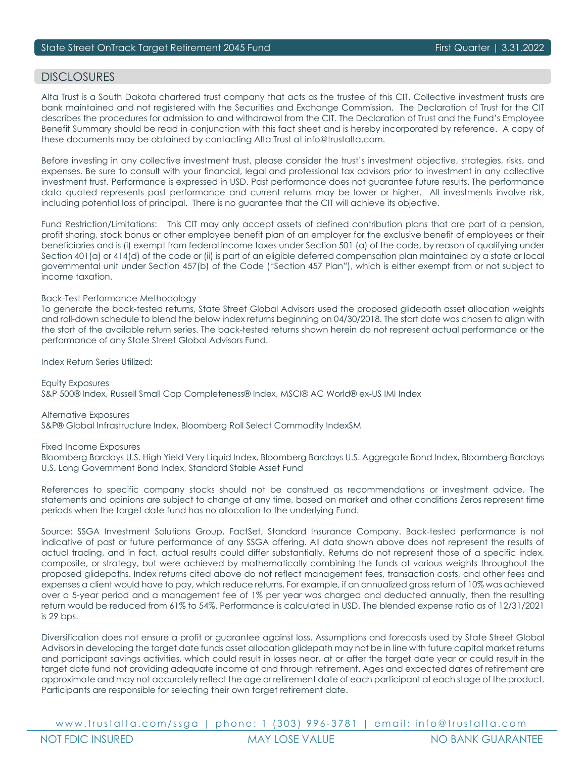# DISCI OSURES

Alta Trust is a South Dakota chartered trust company that acts as the trustee of this CIT. Collective investment trusts are bank maintained and not registered with the Securities and Exchange Commission. The Declaration of Trust for the CIT describes the procedures for admission to and withdrawal from the CIT. The Declaration of Trust and the Fund's Employee Benefit Summary should be read in conjunction with this fact sheet and is hereby incorporated by reference. A copy of these documents may be obtained by contacting Alta Trust at info@trustalta.com.

Before investing in any collective investment trust, please consider the trust's investment objective, strategies, risks, and expenses. Be sure to consult with your financial, legal and professional tax advisors prior to investment in any collective investment trust. Performance is expressed in USD. Past performance does not guarantee future results. The performance data quoted represents past performance and current returns may be lower or higher. All investments involve risk, including potential loss of principal. There is no guarantee that the CIT will achieve its objective.

Fund Restriction/Limitations: This CIT may only accept assets of defined contribution plans that are part of a pension, profit sharing, stock bonus or other employee benefit plan of an employer for the exclusive benefit of employees or their beneficiaries and is (i) exempt from federal income taxes under Section 501 (a) of the code, by reason of qualifying under Section 401(a) or 414(d) of the code or (ii) is part of an eligible deferred compensation plan maintained by a state or local governmental unit under Section 457(b) of the Code ("Section 457 Plan"), which is either exempt from or not subject to income taxation.

### Back-Test Performance Methodology

To generate the back-tested returns, State Street Global Advisors used the proposed glidepath asset allocation weights and roll-down schedule to blend the below index returns beginning on 04/30/2018. The start date was chosen to align with the start of the available return series. The back-tested returns shown herein do not represent actual performance or the performance of any State Street Global Advisors Fund.

Index Return Series Utilized:

Equity Exposures S&P 500® Index, Russell Small Cap Completeness® Index, MSCI® AC World® ex-US IMI Index

Alternative Exposures S&P® Global Infrastructure Index, Bloomberg Roll Select Commodity IndexSM

Fixed Income Exposures

Bloomberg Barclays U.S. High Yield Very Liquid Index, Bloomberg Barclays U.S. Aggregate Bond Index, Bloomberg Barclays U.S. Long Government Bond Index, Standard Stable Asset Fund

References to specific company stocks should not be construed as recommendations or investment advice. The statements and opinions are subject to change at any time, based on market and other conditions Zeros represent time periods when the target date fund has no allocation to the underlying Fund.

Source: SSGA Investment Solutions Group, FactSet, Standard Insurance Company. Back-tested performance is not indicative of past or future performance of any SSGA offering. All data shown above does not represent the results of actual trading, and in fact, actual results could differ substantially. Returns do not represent those of a specific index, composite, or strategy, but were achieved by mathematically combining the funds at various weights throughout the proposed glidepaths. Index returns cited above do not reflect management fees, transaction costs, and other fees and expenses a client would have to pay, which reduce returns. For example, if an annualized gross return of 10% was achieved over a 5-year period and a management fee of 1% per year was charged and deducted annually, then the resulting return would be reduced from 61% to 54%. Performance is calculated in USD. The blended expense ratio as of 12/31/2021 is 29 bps.

Diversification does not ensure a profit or guarantee against loss. Assumptions and forecasts used by State Street Global Advisors in developing the target date funds asset allocation glidepath may not be in line with future capital market returns and participant savings activities, which could result in losses near, at or after the target date year or could result in the target date fund not providing adequate income at and through retirement. Ages and expected dates of retirement are approximate and may not accurately reflect the age or retirement date of each participant at each stage of the product. Participants are responsible for selecting their own target retirement date.

www.trustalta.com/ ssga | phone: 1 ( 303 ) 9 9 6 - 3781 | email: info@trustalta.com